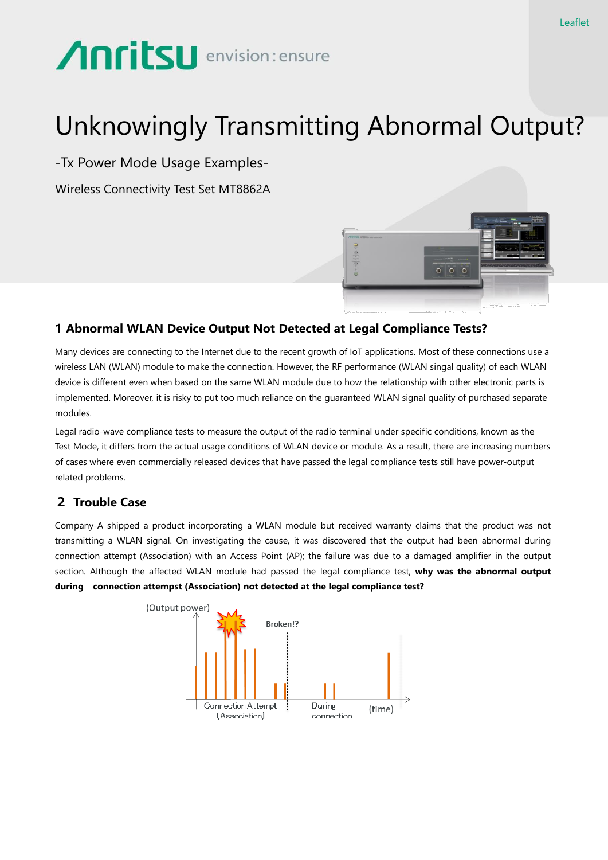# **Anritsu** envision: ensure

# Unknowingly Transmitting Abnormal Output?

-Tx Power Mode Usage Examples-

Wireless Connectivity Test Set MT8862A



## **1 Abnormal WLAN Device Output Not Detected at Legal Compliance Tests?**

Many devices are connecting to the Internet due to the recent growth of IoT applications. Most of these connections use a wireless LAN (WLAN) module to make the connection. However, the RF performance (WLAN singal quality) of each WLAN device is different even when based on the same WLAN module due to how the relationship with other electronic parts is implemented. Moreover, it is risky to put too much reliance on the guaranteed WLAN signal quality of purchased separate modules.

Legal radio-wave compliance tests to measure the output of the radio terminal under specific conditions, known as the Test Mode, it differs from the actual usage conditions of WLAN device or module. As a result, there are increasing numbers of cases where even commercially released devices that have passed the legal compliance tests still have power-output related problems.

# 2 **Trouble Case**

Company-A shipped a product incorporating a WLAN module but received warranty claims that the product was not transmitting a WLAN signal. On investigating the cause, it was discovered that the output had been abnormal during connection attempt (Association) with an Access Point (AP); the failure was due to a damaged amplifier in the output section. Although the affected WLAN module had passed the legal compliance test, **why was the abnormal output during connection attempst (Association) not detected at the legal compliance test?**

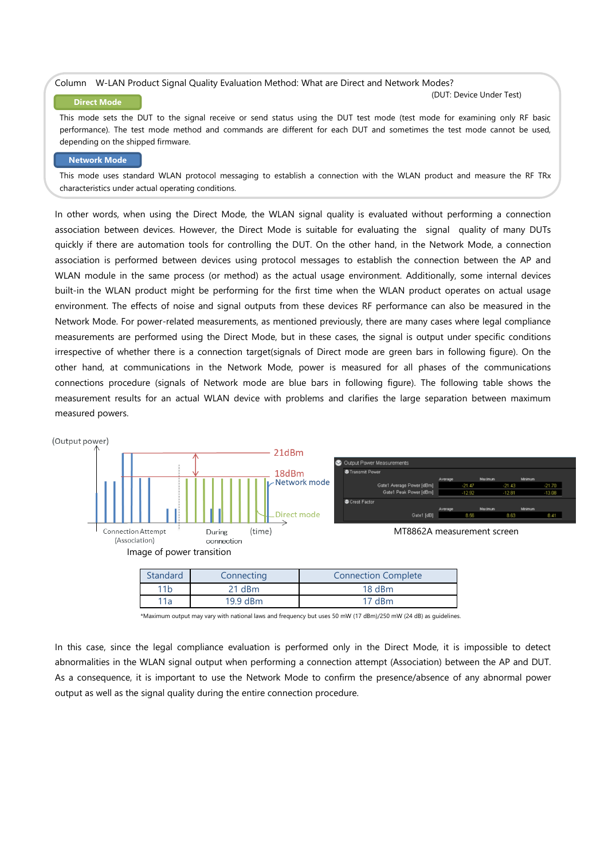#### Column W-LAN Product Signal Quality Evaluation Method: What are Direct and Network Modes?

#### **Direct Mode**

(DUT: Device Under Test)

This mode sets the DUT to the signal receive or send status using the DUT test mode (test mode for examining only RF basic performance). The test mode method and commands are different for each DUT and sometimes the test mode cannot be used, depending on the shipped firmware.

#### **Network Mode**

This mode uses standard WLAN protocol messaging to establish a connection with the WLAN product and measure the RF TRx characteristics under actual operating conditions.

In other words, when using the Direct Mode, the WLAN signal quality is evaluated without performing a connection association between devices. However, the Direct Mode is suitable for evaluating the signal quality of many DUTs quickly if there are automation tools for controlling the DUT. On the other hand, in the Network Mode, a connection association is performed between devices using protocol messages to establish the connection between the AP and WLAN module in the same process (or method) as the actual usage environment. Additionally, some internal devices built-in the WLAN product might be performing for the first time when the WLAN product operates on actual usage environment. The effects of noise and signal outputs from these devices RF performance can also be measured in the Network Mode. For power-related measurements, as mentioned previously, there are many cases where legal compliance measurements are performed using the Direct Mode, but in these cases, the signal is output under specific conditions irrespective of whether there is a connection target(signals of Direct mode are green bars in following figure). On the other hand, at communications in the Network Mode, power is measured for all phases of the communications connections procedure (signals of Network mode are blue bars in following figure). The following table shows the measurement results for an actual WLAN device with problems and clarifies the large separation between maximum measured powers.



| Standard                    | Connecting | <b>Connection Complete</b> |  |
|-----------------------------|------------|----------------------------|--|
| 11 <sub>b</sub><br>$21$ dBm |            | $18$ dBm                   |  |
| 11a                         | $19.9$ dBm | $17$ dBm                   |  |

\*Maximum output may vary with national laws and frequency but uses 50 mW (17 dBm)/250 mW (24 dB) as guidelines.

In this case, since the legal compliance evaluation is performed only in the Direct Mode, it is impossible to detect abnormalities in the WLAN signal output when performing a connection attempt (Association) between the AP and DUT. As a consequence, it is important to use the Network Mode to confirm the presence/absence of any abnormal power output as well as the signal quality during the entire connection procedure.